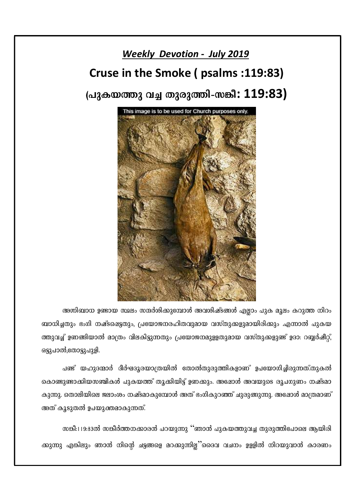### **Weekly Devotion - July 2019**

# Cruse in the Smoke (psalms: 119:83)

# (പുകയത്തു വച്ച തുരുത്തി-സങ്കീ: 119:83)



അഗ്നിബാധ ഉണ്ടായ സ്ഥലം സന്ദർശിക്കുമ്പോൾ അവശിഷ്ടങ്ങൾ എല്ലാം പുക മൂലം കറുത്ത നിറം ബാധിച്ചതും ഭംഗി നഷ്ടപ്പെട്ടതും, പ്രയോജനരഹിതവുമായ വസ്തുക്കളുമായിരിക്കും എന്നാൽ പുകയ ത്തുവച്ച് ഉണങ്ങിയാൽ മാത്രം വിലകിട്ടുന്നതും പ്രയോജനമുളളതുമായ വസ്തുക്കളുണ്ട് ഉദാ: റബ്ബർഷീറ്റ്, ഒട്ടുപാൽ,തോട്ടുപുളി.

പണ്ട് യഹുദന്മാർ ദീർഘദൂരയാത്രയിൽ തോൽതുരുത്തികളാണ് ഉപയോഗിച്ചിരുന്നത്.തുകൽ കൊണ്ടുണ്ടാക്കിയസഞ്ചികൾ പുകയത്ത് തൂക്കിയിട്ട് ഉണക്കും. അഷോൾ അവയുടെ രൂപഗുണം നഷ്ടമാ കുന്നു. തൊലിയിലെ ജലാംശം നഷ്ടമാകുമ്പോൾ അത് ഭംഗികുറഞ്ഞ് ചുരുങ്ങുന്നു. അഷോൾ മാത്രമാണ് അത് കൂടുതൽ ഉപയുക്തമാകുന്നത്.

സങ്കീ:119:83ൽ സങ്കീർത്തനക്കാരൻ പറയുന്നു ''ഞാൻ പുകയത്തുവച്ച തുരുത്തിപോലെ ആയിരി ക്കുന്നു എങ്കിലും ഞാൻ നിന്റെ ചട്ടങ്ങളെ മറക്കുന്നില്ല''ദൈവ വചനം ഉള്ളിൽ നിറയുവാൻ കാരണം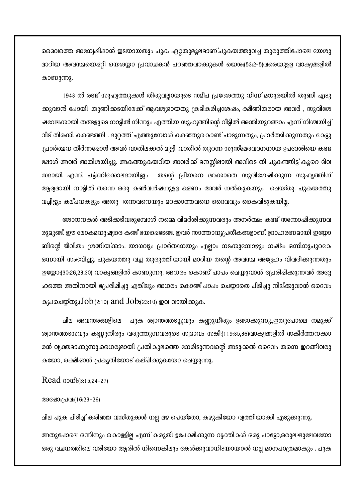ദൈവത്തെ അന്വേഷിഷാൻ ഇടയായതും പുക ഏറ്റതുമൂലമാണ്.പുകയത്തുവച്ച തുരുത്തിപോലെ യേശു മാറിയ അവസ്ഥയെപ്പറ്റി യെശയ്യാ പ്രവാചകൻ പറഞ്ഞവാക്കുകൾ യെശ:(53:2-5)വരെയുളള വാക്യങ്ങളിൽ കാണുന്നു.

1948 ൽ രണ്ട് സുഹ്യത്തുക്കൾ തിരുവല്ലായുടെ സമീപ പ്രദേശത്തു നിന്ന് മധുരയിൽ തുണി എടു ക്കുവാൻ പോയി .തുണിക്കടയിലേക്ക് ആവശ്യമായതു ക്രമീകരിച്ചശേഷം, ക്ഷീണിതരായ അവർ , സുവിശേ ഷവേലക്കായി തങ്ങളുടെ നാട്ടിൽ നിന്നും എത്തിയ സുഹ്യത്തിന്റെ വീട്ടിൽ അന്തിയുറങ്ങാം എന്ന് നിശ്ചയിച്ച് വീട് തിരക്കി കണ്ടെത്തി . മുറ്റത്ത് എത്തുമ്പോൾ കരഞ്ഞുകൊണ്ട് പാടുന്നതും, പ്രാർത്ഥിക്കുന്നതും കേട്ടു .പ്രാർത്ഥന തീർന്നഷോൾ അവർ വാതിലക്കൽ മുട്ടി .വാതിൽ തുറന്ന സുസ്മേരവദനനായ ഉപദേശിയെ കണ്ട ഷോൾ അവർ അതിശയിച്ചു. അകത്തുകയറിയ അവർക്ക് മനസ്സിലായി അവിടെ തീ പുകഞ്ഞിട്ട് കൂറെ ദിവ സമായി എന്ന്. പട്ടിണിക്കോലമായിട്ടും തന്റെ പ്രീയനെ മറക്കാതെ സുവിശേഷിക്കുന്ന സുഹൃത്തിന് ആദ്യമായി നാട്ടിൽ തന്നെ ഒരു കൺവൻഷനുളള ക്ഷണം അവർ നൽകുകയും ചെയ്തു. പുകയത്തു വച്ചിട്ടും കല്പനകളും അതു തന്നവനെയും മറക്കാത്തവനെ ദൈവവും കൈവിടുകയില്ല.

രോധനകൾ അടിക്കടിവരുമ്പോൾ നമ്മെ വിമർശിക്കുന്നവരും അനർത്ഥം കണ്ട് സന്തോഷിക്കുന്നവ രുമുണ്ട്. ഈ ലോകമനുഷ്യരെ കണ്ട് ഭയഷെടേണ്ട. ഇവർ സാത്താന്യപ്രതീകങ്ങളാണ്. ഉദാഹരണമായി ഇസ്കോ ബിന്റെ ജീവിതം ശ്രദ്ധിയ്ക്കാം. യാഗവും പ്രാർത്ഥനയും എല്ലാം നടക്കുമ്പോഴും നഷ്ടം ഒന്നിനുപുറകേ ഒന്നായി സംഭവിച്ചു. പുകയത്തു വച്ച തുരുത്തിയായി മാറിയ തന്റെ അവസ്ഥ അദ്ദേഹം വിവരിക്കുന്നതും ഇയ്യോ:(30:26,28,30) വാക്യങ്ങളിൽ കാണുന്നു. അധരം കൊണ്ട് പാപം ചെയ്യുവാൻ പ്രേരിഷിക്കുന്നവർ അദ്ദേ ഹത്തെ അതിനായി പ്രേരിഷിച്ചു എങ്കിലും അധരം കൊണ്ട് പാപം ചെയ്യാതെ പിടിച്ചു നില്ക്കുവാൻ ദൈവം ക്യപചെയ്തു.(Job:(2:10) and Job:(23:10) ഇവ വായിക്കുക.

ചില അവസരങ്ങളിലെ പുക ശ്വാസത്തടസ്സവും കണ്ണുനീരും ഉണ്ടാക്കുന്നു.,ഇതുപോലെ നമുക്ക് ശ്വാസത്തടസവും കണ്ണുനീരും വരുത്തുന്നവരുടെ സ്വഭാവം സങ്കീ:(119:85,86)വാക്യങ്ങളിൽ സങ്കീർത്തനക്കാ രൻ വ്യക്തമാക്കുന്നു.ധൈര്യമായി പ്രതികുലത്തെ നേരിടുന്നവന്റെ അടുക്കൽ ദൈവം തന്നെ ഇറങ്ങിവരു കയോ, രക്ഷിഷാൻ പ്രകൃതിയോട് കല്പിക്കുകയോ ചെയ്യുന്നു.

#### Read appl: (3:15,24-27)

#### അഷോ:പ്രവ:(16:23-26)

ചില പുക പിടിച്ച് കരിഞ്ഞ വസ്തുക്കൾ നല്ല മഴ പെയ്തോ, കഴുകിയോ വ്യത്തിയാക്കി എടുക്കുന്നു. അതുപോലെ ഒന്നിനും കൊള്ളില്ല എന്ന് കരുതി ഉപേക്ഷിക്കുന്ന വ്യക്തികൾ ഒരു പാട്ടോ,ഒരുലഘുലേഖയോ ഒരു വചനത്തിലെ വരിയോ ആരിൽ നിന്നെങ്കിലും കേൾക്കുവാനിടയായാൽ നല്ല മാനപാത്രമാകും . പുക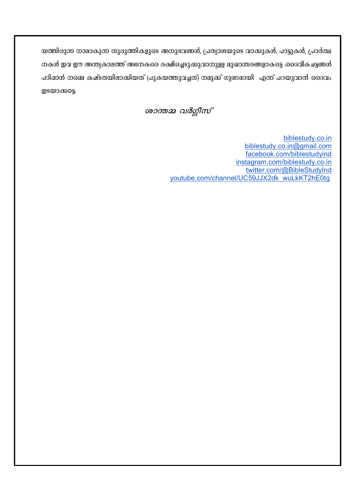യത്തിരുന്ന നാമാകുന്ന തുരുത്തികളുടെ അനുഭവങ്ങൾ, പ്രത്യാശയുടെ വാക്കുകൾ, പാട്ടുകൾ, പ്രാർത്ഥ നകൾ ഇവ ഈ അന്ത്യകാലത്ത് അനേകരെ രക്ഷിച്ചെടുക്കുവാനുളള മുഖാന്തരങ്ങളാകട്ടെ .ദൈവീകചട്ടങ്ങൾ പഠിഷാൻ നമ്മെ കഷ്ടതയിലാക്കിയത് (പുകയത്തുവച്ചത്) നമുക്ക് ഗുണമായി എന്ന് പറയുവാൻ ദൈവം ഇടയാക്കട്ടെ.

ശാന്തമ്മ വർഗ്ഗീസ്

biblestudy.co.in biblestudy.co.in@gmail.com facebook.com/biblestudyind instagram.com/biblestudy.co.in twitter.com/@BibleStudyInd youtube.com/channel/UC59JJX2dk wuLkKT2hE0tg